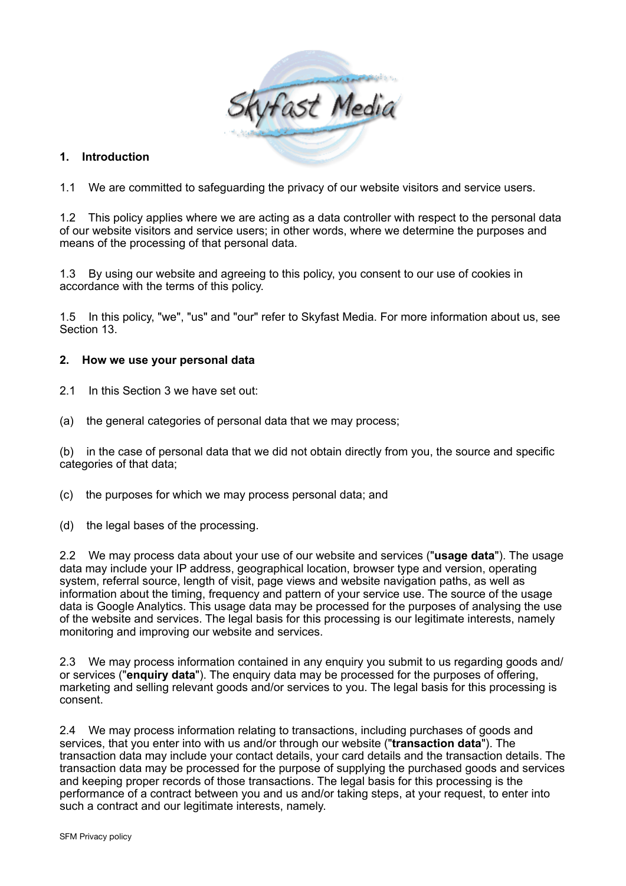

### **1. Introduction**

1.1 We are committed to safeguarding the privacy of our website visitors and service users.

1.2 This policy applies where we are acting as a data controller with respect to the personal data of our website visitors and service users; in other words, where we determine the purposes and means of the processing of that personal data.

1.3 By using our website and agreeing to this policy, you consent to our use of cookies in accordance with the terms of this policy.

1.5 In this policy, "we", "us" and "our" refer to Skyfast Media. For more information about us, see Section 13.

#### **2. How we use your personal data**

- 2.1 In this Section 3 we have set out:
- (a) the general categories of personal data that we may process;

(b) in the case of personal data that we did not obtain directly from you, the source and specific categories of that data;

- (c) the purposes for which we may process personal data; and
- (d) the legal bases of the processing.

2.2 We may process data about your use of our website and services ("**usage data**"). The usage data may include your IP address, geographical location, browser type and version, operating system, referral source, length of visit, page views and website navigation paths, as well as information about the timing, frequency and pattern of your service use. The source of the usage data is Google Analytics. This usage data may be processed for the purposes of analysing the use of the website and services. The legal basis for this processing is our legitimate interests, namely monitoring and improving our website and services.

2.3 We may process information contained in any enquiry you submit to us regarding goods and/ or services ("**enquiry data**"). The enquiry data may be processed for the purposes of offering, marketing and selling relevant goods and/or services to you. The legal basis for this processing is consent.

2.4 We may process information relating to transactions, including purchases of goods and services, that you enter into with us and/or through our website ("**transaction data**"). The transaction data may include your contact details, your card details and the transaction details. The transaction data may be processed for the purpose of supplying the purchased goods and services and keeping proper records of those transactions. The legal basis for this processing is the performance of a contract between you and us and/or taking steps, at your request, to enter into such a contract and our legitimate interests, namely.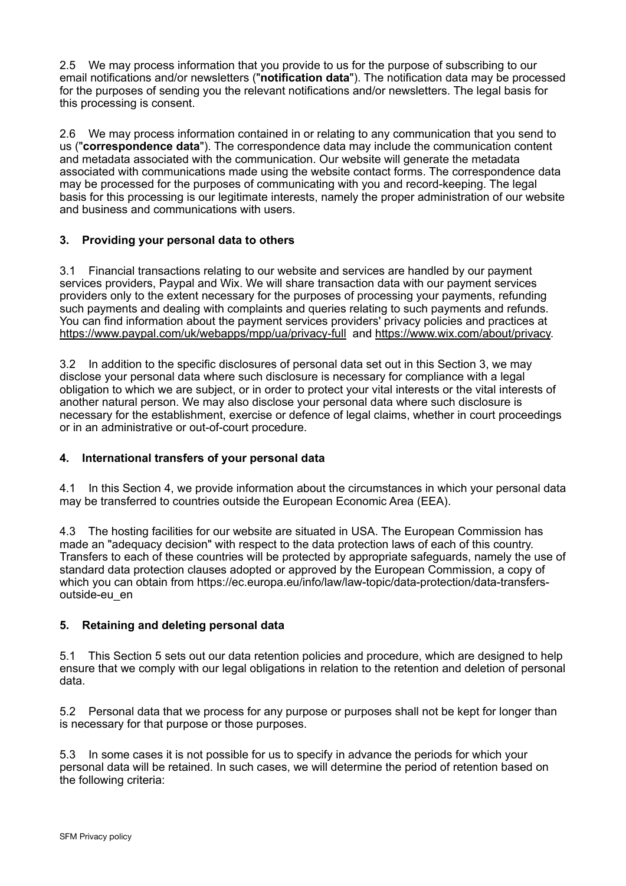2.5 We may process information that you provide to us for the purpose of subscribing to our email notifications and/or newsletters ("**notification data**"). The notification data may be processed for the purposes of sending you the relevant notifications and/or newsletters. The legal basis for this processing is consent.

2.6 We may process information contained in or relating to any communication that you send to us ("**correspondence data**"). The correspondence data may include the communication content and metadata associated with the communication. Our website will generate the metadata associated with communications made using the website contact forms. The correspondence data may be processed for the purposes of communicating with you and record-keeping. The legal basis for this processing is our legitimate interests, namely the proper administration of our website and business and communications with users.

### **3. Providing your personal data to others**

3.1 Financial transactions relating to our website and services are handled by our payment services providers, Paypal and Wix. We will share transaction data with our payment services providers only to the extent necessary for the purposes of processing your payments, refunding such payments and dealing with complaints and queries relating to such payments and refunds. You can find information about the payment services providers' privacy policies and practices at <https://www.paypal.com/uk/webapps/mpp/ua/privacy-full> and [https://www.wix.com/about/privacy.](https://www.wix.com/about/privacy)

3.2 In addition to the specific disclosures of personal data set out in this Section 3, we may disclose your personal data where such disclosure is necessary for compliance with a legal obligation to which we are subject, or in order to protect your vital interests or the vital interests of another natural person. We may also disclose your personal data where such disclosure is necessary for the establishment, exercise or defence of legal claims, whether in court proceedings or in an administrative or out-of-court procedure.

# **4. International transfers of your personal data**

4.1 In this Section 4, we provide information about the circumstances in which your personal data may be transferred to countries outside the European Economic Area (EEA).

4.3 The hosting facilities for our website are situated in USA. The European Commission has made an "adequacy decision" with respect to the data protection laws of each of this country. Transfers to each of these countries will be protected by appropriate safeguards, namely the use of standard data protection clauses adopted or approved by the European Commission, a copy of which you can obtain from https://ec.europa.eu/info/law/law-topic/data-protection/data-transfersoutside-eu\_en

# **5. Retaining and deleting personal data**

5.1 This Section 5 sets out our data retention policies and procedure, which are designed to help ensure that we comply with our legal obligations in relation to the retention and deletion of personal data.

5.2 Personal data that we process for any purpose or purposes shall not be kept for longer than is necessary for that purpose or those purposes.

5.3 In some cases it is not possible for us to specify in advance the periods for which your personal data will be retained. In such cases, we will determine the period of retention based on the following criteria: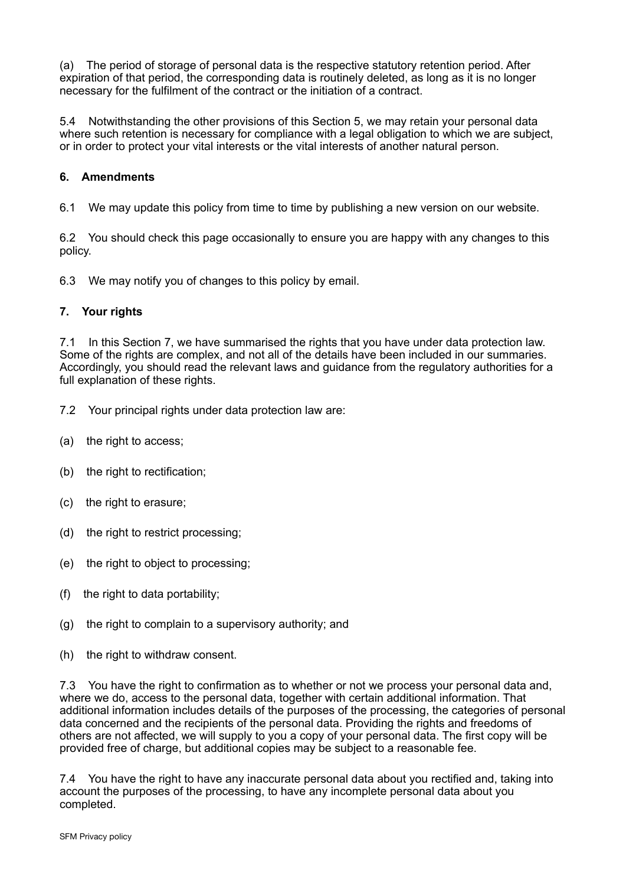(a) The period of storage of personal data is the respective statutory retention period. After expiration of that period, the corresponding data is routinely deleted, as long as it is no longer necessary for the fulfilment of the contract or the initiation of a contract.

5.4 Notwithstanding the other provisions of this Section 5, we may retain your personal data where such retention is necessary for compliance with a legal obligation to which we are subject, or in order to protect your vital interests or the vital interests of another natural person.

## **6. Amendments**

6.1 We may update this policy from time to time by publishing a new version on our website.

6.2 You should check this page occasionally to ensure you are happy with any changes to this policy.

6.3 We may notify you of changes to this policy by email.

#### **7. Your rights**

7.1 In this Section 7, we have summarised the rights that you have under data protection law. Some of the rights are complex, and not all of the details have been included in our summaries. Accordingly, you should read the relevant laws and guidance from the regulatory authorities for a full explanation of these rights.

- 7.2 Your principal rights under data protection law are:
- (a) the right to access;
- (b) the right to rectification;
- (c) the right to erasure;
- (d) the right to restrict processing;
- (e) the right to object to processing;
- (f) the right to data portability;
- (g) the right to complain to a supervisory authority; and
- (h) the right to withdraw consent.

7.3 You have the right to confirmation as to whether or not we process your personal data and, where we do, access to the personal data, together with certain additional information. That additional information includes details of the purposes of the processing, the categories of personal data concerned and the recipients of the personal data. Providing the rights and freedoms of others are not affected, we will supply to you a copy of your personal data. The first copy will be provided free of charge, but additional copies may be subject to a reasonable fee.

7.4 You have the right to have any inaccurate personal data about you rectified and, taking into account the purposes of the processing, to have any incomplete personal data about you completed.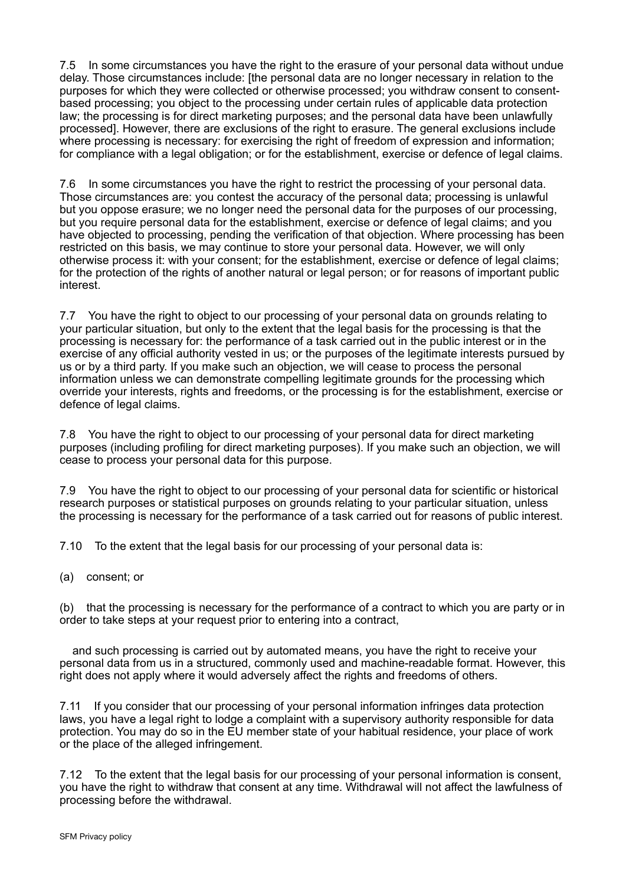7.5 In some circumstances you have the right to the erasure of your personal data without undue delay. Those circumstances include: [the personal data are no longer necessary in relation to the purposes for which they were collected or otherwise processed; you withdraw consent to consentbased processing; you object to the processing under certain rules of applicable data protection law; the processing is for direct marketing purposes; and the personal data have been unlawfully processed]. However, there are exclusions of the right to erasure. The general exclusions include where processing is necessary: for exercising the right of freedom of expression and information; for compliance with a legal obligation; or for the establishment, exercise or defence of legal claims.

7.6 In some circumstances you have the right to restrict the processing of your personal data. Those circumstances are: you contest the accuracy of the personal data; processing is unlawful but you oppose erasure; we no longer need the personal data for the purposes of our processing, but you require personal data for the establishment, exercise or defence of legal claims; and you have objected to processing, pending the verification of that objection. Where processing has been restricted on this basis, we may continue to store your personal data. However, we will only otherwise process it: with your consent; for the establishment, exercise or defence of legal claims; for the protection of the rights of another natural or legal person; or for reasons of important public interest.

7.7 You have the right to object to our processing of your personal data on grounds relating to your particular situation, but only to the extent that the legal basis for the processing is that the processing is necessary for: the performance of a task carried out in the public interest or in the exercise of any official authority vested in us; or the purposes of the legitimate interests pursued by us or by a third party. If you make such an objection, we will cease to process the personal information unless we can demonstrate compelling legitimate grounds for the processing which override your interests, rights and freedoms, or the processing is for the establishment, exercise or defence of legal claims.

7.8 You have the right to object to our processing of your personal data for direct marketing purposes (including profiling for direct marketing purposes). If you make such an objection, we will cease to process your personal data for this purpose.

7.9 You have the right to object to our processing of your personal data for scientific or historical research purposes or statistical purposes on grounds relating to your particular situation, unless the processing is necessary for the performance of a task carried out for reasons of public interest.

7.10 To the extent that the legal basis for our processing of your personal data is:

(a) consent; or

(b) that the processing is necessary for the performance of a contract to which you are party or in order to take steps at your request prior to entering into a contract,

 and such processing is carried out by automated means, you have the right to receive your personal data from us in a structured, commonly used and machine-readable format. However, this right does not apply where it would adversely affect the rights and freedoms of others.

7.11 If you consider that our processing of your personal information infringes data protection laws, you have a legal right to lodge a complaint with a supervisory authority responsible for data protection. You may do so in the EU member state of your habitual residence, your place of work or the place of the alleged infringement.

7.12 To the extent that the legal basis for our processing of your personal information is consent, you have the right to withdraw that consent at any time. Withdrawal will not affect the lawfulness of processing before the withdrawal.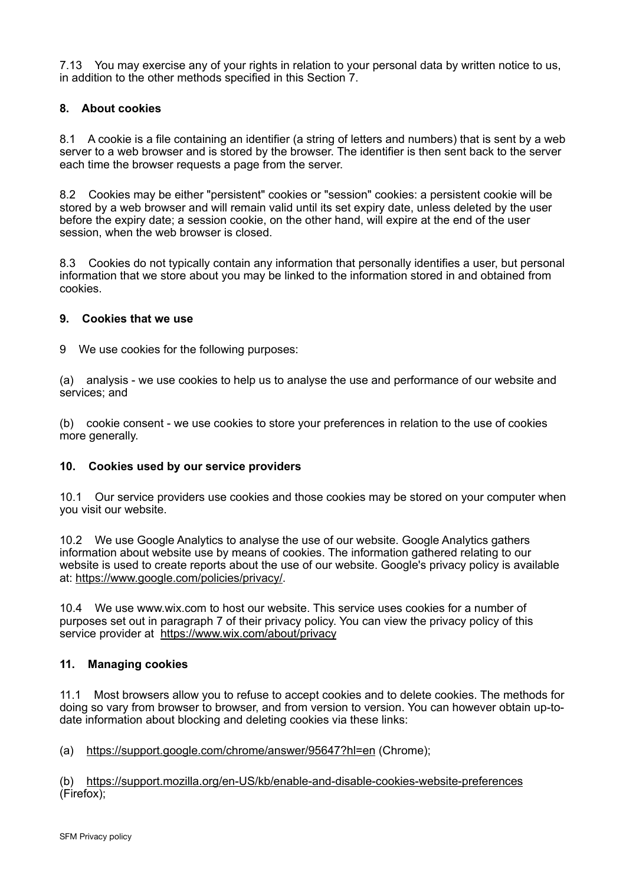7.13 You may exercise any of your rights in relation to your personal data by written notice to us, in addition to the other methods specified in this Section 7.

### **8. About cookies**

8.1 A cookie is a file containing an identifier (a string of letters and numbers) that is sent by a web server to a web browser and is stored by the browser. The identifier is then sent back to the server each time the browser requests a page from the server.

8.2 Cookies may be either "persistent" cookies or "session" cookies: a persistent cookie will be stored by a web browser and will remain valid until its set expiry date, unless deleted by the user before the expiry date; a session cookie, on the other hand, will expire at the end of the user session, when the web browser is closed.

8.3 Cookies do not typically contain any information that personally identifies a user, but personal information that we store about you may be linked to the information stored in and obtained from cookies.

#### **9. Cookies that we use**

9 We use cookies for the following purposes:

(a) analysis - we use cookies to help us to analyse the use and performance of our website and services; and

(b) cookie consent - we use cookies to store your preferences in relation to the use of cookies more generally.

#### **10. Cookies used by our service providers**

10.1 Our service providers use cookies and those cookies may be stored on your computer when you visit our website.

10.2 We use Google Analytics to analyse the use of our website. Google Analytics gathers information about website use by means of cookies. The information gathered relating to our website is used to create reports about the use of our website. Google's privacy policy is available at: [https://www.google.com/policies/privacy/.](https://www.google.com/policies/privacy/)

10.4 We use www.wix.com to host our website. This service uses cookies for a number of purposes set out in paragraph 7 of their privacy policy. You can view the privacy policy of this service provider at <https://www.wix.com/about/privacy>

#### **11. Managing cookies**

11.1 Most browsers allow you to refuse to accept cookies and to delete cookies. The methods for doing so vary from browser to browser, and from version to version. You can however obtain up-todate information about blocking and deleting cookies via these links:

(a) <https://support.google.com/chrome/answer/95647?hl=en> (Chrome);

(b) <https://support.mozilla.org/en-US/kb/enable-and-disable-cookies-website-preferences> (Firefox);